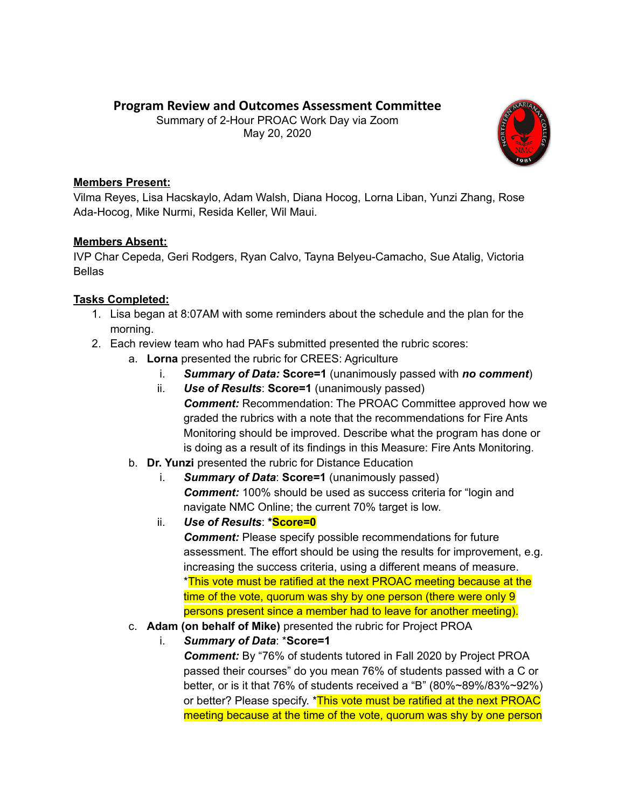# **Program Review and Outcomes Assessment Committee**

Summary of 2-Hour PROAC Work Day via Zoom May 20, 2020



### **Members Present:**

Vilma Reyes, Lisa Hacskaylo, Adam Walsh, Diana Hocog, Lorna Liban, Yunzi Zhang, Rose Ada-Hocog, Mike Nurmi, Resida Keller, Wil Maui.

## **Members Absent:**

IVP Char Cepeda, Geri Rodgers, Ryan Calvo, Tayna Belyeu-Camacho, Sue Atalig, Victoria Bellas

## **Tasks Completed:**

- 1. Lisa began at 8:07AM with some reminders about the schedule and the plan for the morning.
- 2. Each review team who had PAFs submitted presented the rubric scores:
	- a. **Lorna** presented the rubric for CREES: Agriculture
		- i. *Summary of Data:* **Score=1** (unanimously passed with *no comment*)
		- ii. *Use of Results*: **Score=1** (unanimously passed) *Comment:* Recommendation: The PROAC Committee approved how we graded the rubrics with a note that the recommendations for Fire Ants Monitoring should be improved. Describe what the program has done or is doing as a result of its findings in this Measure: Fire Ants Monitoring.
	- b. **Dr. Yunzi** presented the rubric for Distance Education
		- i. *Summary of Data*: **Score=1** (unanimously passed) **Comment:** 100% should be used as success criteria for "login and navigate NMC Online; the current 70% target is low.
		- ii. *Use of Results*: **\*Score=0** *Comment:* Please specify possible recommendations for future assessment. The effort should be using the results for improvement, e.g. increasing the success criteria, using a different means of measure. \*This vote must be ratified at the next PROAC meeting because at the time of the vote, quorum was shy by one person (there were only 9 persons present since a member had to leave for another meeting).
	- c. **Adam (on behalf of Mike)** presented the rubric for Project PROA
		- i. *Summary of Data*: \***Score=1** *Comment:* By "76% of students tutored in Fall 2020 by Project PROA passed their courses" do you mean 76% of students passed with a C or better, or is it that 76% of students received a "B" (80%~89%/83%~92%) or better? Please specify. \*This vote must be ratified at the next PROAC meeting because at the time of the vote, quorum was shy by one person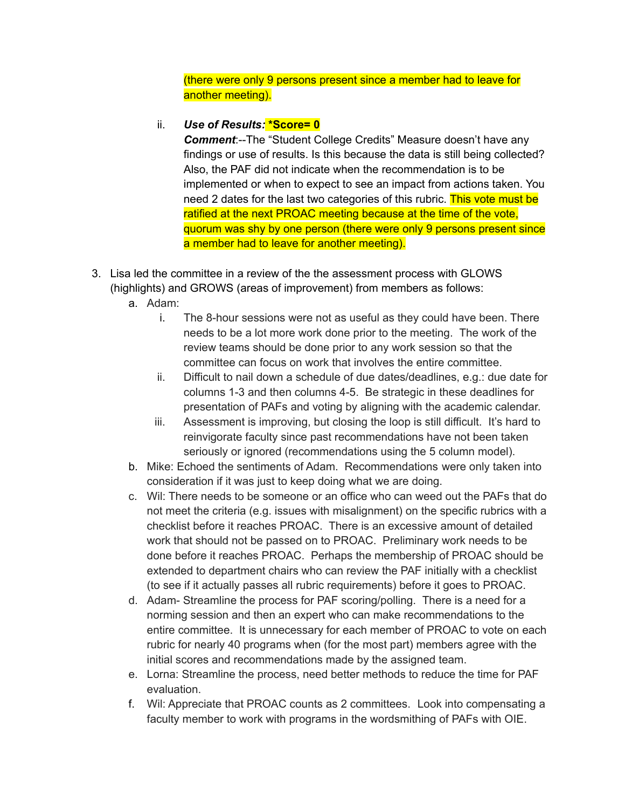(there were only 9 persons present since a member had to leave for another meeting).

## ii. *Use of Results:* **\*Score= 0**

*Comment*:--The "Student College Credits" Measure doesn't have any findings or use of results. Is this because the data is still being collected? Also, the PAF did not indicate when the recommendation is to be implemented or when to expect to see an impact from actions taken. You need 2 dates for the last two categories of this rubric. This vote must be ratified at the next PROAC meeting because at the time of the vote, quorum was shy by one person (there were only 9 persons present since a member had to leave for another meeting).

- 3. Lisa led the committee in a review of the the assessment process with GLOWS (highlights) and GROWS (areas of improvement) from members as follows:
	- a. Adam:
		- i. The 8-hour sessions were not as useful as they could have been. There needs to be a lot more work done prior to the meeting. The work of the review teams should be done prior to any work session so that the committee can focus on work that involves the entire committee.
		- ii. Difficult to nail down a schedule of due dates/deadlines, e.g.: due date for columns 1-3 and then columns 4-5. Be strategic in these deadlines for presentation of PAFs and voting by aligning with the academic calendar.
		- iii. Assessment is improving, but closing the loop is still difficult. It's hard to reinvigorate faculty since past recommendations have not been taken seriously or ignored (recommendations using the 5 column model).
	- b. Mike: Echoed the sentiments of Adam. Recommendations were only taken into consideration if it was just to keep doing what we are doing.
	- c. Wil: There needs to be someone or an office who can weed out the PAFs that do not meet the criteria (e.g. issues with misalignment) on the specific rubrics with a checklist before it reaches PROAC. There is an excessive amount of detailed work that should not be passed on to PROAC. Preliminary work needs to be done before it reaches PROAC. Perhaps the membership of PROAC should be extended to department chairs who can review the PAF initially with a checklist (to see if it actually passes all rubric requirements) before it goes to PROAC.
	- d. Adam- Streamline the process for PAF scoring/polling. There is a need for a norming session and then an expert who can make recommendations to the entire committee. It is unnecessary for each member of PROAC to vote on each rubric for nearly 40 programs when (for the most part) members agree with the initial scores and recommendations made by the assigned team.
	- e. Lorna: Streamline the process, need better methods to reduce the time for PAF evaluation.
	- f. Wil: Appreciate that PROAC counts as 2 committees. Look into compensating a faculty member to work with programs in the wordsmithing of PAFs with OIE.